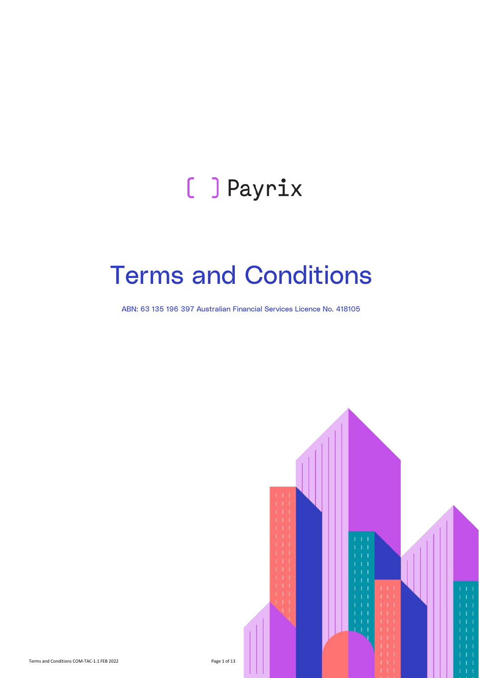# [ ] Payrix

# Terms and Conditions

ABN: 63 135 196 397 Australian Financial Services Licence No. 418105

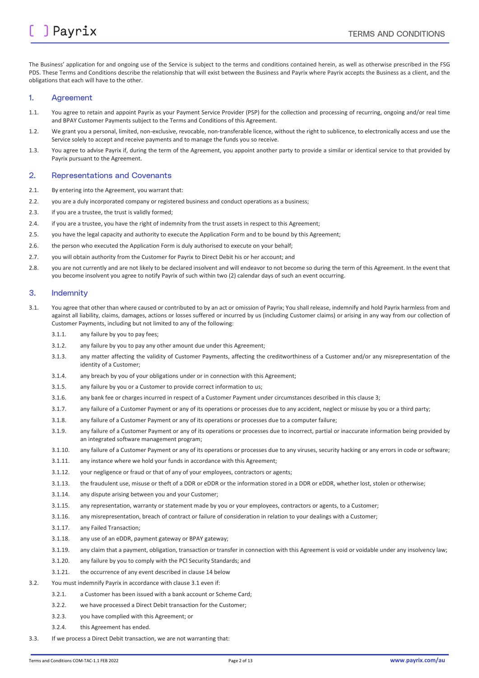The Business' application for and ongoing use of the Service is subject to the terms and conditions contained herein, as well as otherwise prescribed in the FSG PDS. These Terms and Conditions describe the relationship that will exist between the Business and Payrix where Payrix accepts the Business as a client, and the obligations that each will have to the other.

#### 1. Agreement

- 1.1. You agree to retain and appoint Payrix as your Payment Service Provider (PSP) for the collection and processing of recurring, ongoing and/or real time and BPAY Customer Payments subject to the Terms and Conditions of this Agreement.
- 1.2. We grant you a personal, limited, non-exclusive, revocable, non-transferable licence, without the right to sublicence, to electronically access and use the Service solely to accept and receive payments and to manage the funds you so receive.
- 1.3. You agree to advise Payrix if, during the term of the Agreement, you appoint another party to provide a similar or identical service to that provided by Payrix pursuant to the Agreement.

#### 2. Representations and Covenants

- 2.1. By entering into the Agreement, you warrant that:
- 2.2. you are a duly incorporated company or registered business and conduct operations as a business;
- 2.3. if you are a trustee, the trust is validly formed;
- 2.4. if you are a trustee, you have the right of indemnity from the trust assets in respect to this Agreement;
- 2.5. you have the legal capacity and authority to execute the Application Form and to be bound by this Agreement;
- 2.6. the person who executed the Application Form is duly authorised to execute on your behalf;
- 2.7. you will obtain authority from the Customer for Payrix to Direct Debit his or her account; and
- 2.8. you are not currently and are not likely to be declared insolvent and will endeavor to not become so during the term of this Agreement. In the event that you become insolvent you agree to notify Payrix of such within two (2) calendar days of such an event occurring.

#### 3. Indemnity

- <span id="page-1-0"></span>3.1. You agree that other than where caused or contributed to by an act or omission of Payrix; You shall release, indemnify and hold Payrix harmless from and against all liability, claims, damages, actions or losses suffered or incurred by us (including Customer claims) or arising in any way from our collection of Customer Payments, including but not limited to any of the following:
	- 3.1.1. any failure by you to pay fees;
	- 3.1.2. any failure by you to pay any other amount due under this Agreement;
	- 3.1.3. any matter affecting the validity of Customer Payments, affecting the creditworthiness of a Customer and/or any misrepresentation of the identity of a Customer;
	- 3.1.4. any breach by you of your obligations under or in connection with this Agreement;
	- 3.1.5. any failure by you or a Customer to provide correct information to us;
	- 3.1.6. any bank fee or charges incurred in respect of a Customer Payment under circumstances described in this clause 3;
	- 3.1.7. any failure of a Customer Payment or any of its operations or processes due to any accident, neglect or misuse by you or a third party;
	- 3.1.8. any failure of a Customer Payment or any of its operations or processes due to a computer failure;
	- 3.1.9. any failure of a Customer Payment or any of its operations or processes due to incorrect, partial or inaccurate information being provided by an integrated software management program;
	- 3.1.10. any failure of a Customer Payment or any of its operations or processes due to any viruses, security hacking or any errors in code or software;
	- 3.1.11. any instance where we hold your funds in accordance with this Agreement;
	- 3.1.12. your negligence or fraud or that of any of your employees, contractors or agents;
	- 3.1.13. the fraudulent use, misuse or theft of a DDR or eDDR or the information stored in a DDR or eDDR, whether lost, stolen or otherwise;
	- 3.1.14. any dispute arising between you and your Customer;
	- 3.1.15. any representation, warranty or statement made by you or your employees, contractors or agents, to a Customer;
	- 3.1.16. any misrepresentation, breach of contract or failure of consideration in relation to your dealings with a Customer;
	- 3.1.17. any Failed Transaction;
	- 3.1.18. any use of an eDDR, payment gateway or BPAY gateway;
	- 3.1.19. any claim that a payment, obligation, transaction or transfer in connection with this Agreement is void or voidable under any insolvency law;
	- 3.1.20. any failure by you to comply with the PCI Security Standards; and
	- 3.1.21. the occurrence of any event described in claus[e 14](#page-5-0) below
- 3.2. You must indemnify Payrix in accordance with claus[e 3.1](#page-1-0) even if:
	- 3.2.1. a Customer has been issued with a bank account or Scheme Card;
	- 3.2.2. we have processed a Direct Debit transaction for the Customer;
	- 3.2.3. you have complied with this Agreement; or
	- 3.2.4. this Agreement has ended.
- 3.3. If we process a Direct Debit transaction, we are not warranting that: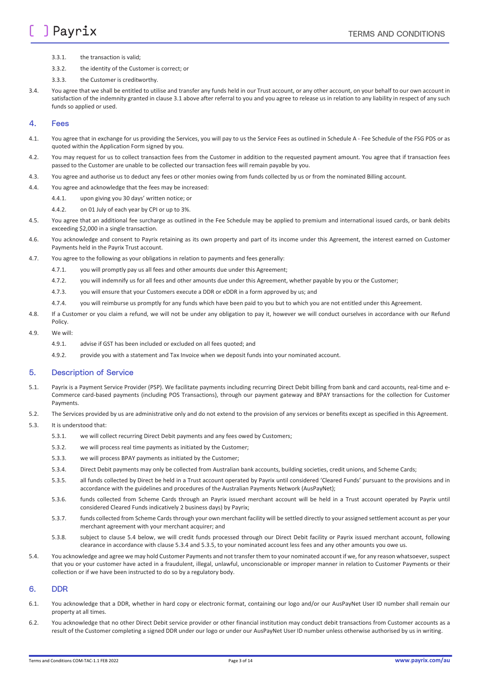- 3.3.1. the transaction is valid;
- 3.3.2. the identity of the Customer is correct; or
- 3.3.3. the Customer is creditworthy.
- 3.4. You agree that we shall be entitled to utilise and transfer any funds held in our Trust account, or any other account, on your behalf to our own account in satisfaction of the indemnity granted in claus[e 3.1](#page-1-0) above after referral to you and you agree to release us in relation to any liability in respect of any such funds so applied or used.

#### 4. Fees

- 4.1. You agree that in exchange for us providing the Services, you will pay to us the Service Fees as outlined in Schedule A Fee Schedule of the FSG PDS or as quoted within the Application Form signed by you.
- 4.2. You may request for us to collect transaction fees from the Customer in addition to the requested payment amount. You agree that if transaction fees passed to the Customer are unable to be collected our transaction fees will remain payable by you.
- 4.3. You agree and authorise us to deduct any fees or other monies owing from funds collected by us or from the nominated Billing account.
- 4.4. You agree and acknowledge that the fees may be increased:
	- 4.4.1. upon giving you 30 days' written notice; or
	- 4.4.2. on 01 July of each year by CPI or up to 3%.
- 4.5. You agree that an additional fee surcharge as outlined in the Fee Schedule may be applied to premium and international issued cards, or bank debits exceeding \$2,000 in a single transaction.
- 4.6. You acknowledge and consent to Payrix retaining as its own property and part of its income under this Agreement, the interest earned on Customer Payments held in the Payrix Trust account.
- 4.7. You agree to the following as your obligations in relation to payments and fees generally:
	- 4.7.1. you will promptly pay us all fees and other amounts due under this Agreement;
	- 4.7.2. you will indemnify us for all fees and other amounts due under this Agreement, whether payable by you or the Customer;
	- 4.7.3. you will ensure that your Customers execute a DDR or eDDR in a form approved by us; and
	- 4.7.4. you will reimburse us promptly for any funds which have been paid to you but to which you are not entitled under this Agreement.
- 4.8. If a Customer or you claim a refund, we will not be under any obligation to pay it, however we will conduct ourselves in accordance with our Refund Policy.
- 4.9. We will:
	- 4.9.1. advise if GST has been included or excluded on all fees quoted; and
	- 4.9.2. provide you with a statement and Tax Invoice when we deposit funds into your nominated account.

#### 5. Description of Service

- 5.1. Payrix is a Payment Service Provider (PSP). We facilitate payments including recurring Direct Debit billing from bank and card accounts, real-time and e-Commerce card-based payments (including POS Transactions), through our payment gateway and BPAY transactions for the collection for Customer Payments.
- 5.2. The Services provided by us are administrative only and do not extend to the provision of any services or benefits except as specified in this Agreement.
- <span id="page-2-2"></span><span id="page-2-1"></span>5.3. It is understood that:
	- 5.3.1. we will collect recurring Direct Debit payments and any fees owed by Customers;
	- 5.3.2. we will process real time payments as initiated by the Customer;
	- 5.3.3. we will process BPAY payments as initiated by the Customer;
	- 5.3.4. Direct Debit payments may only be collected from Australian bank accounts, building societies, credit unions, and Scheme Cards;
	- 5.3.5. all funds collected by Direct be held in a Trust account operated by Payrix until considered 'Cleared Funds' pursuant to the provisions and in accordance with the guidelines and procedures of the Australian Payments Network (AusPayNet);
	- 5.3.6. funds collected from Scheme Cards through an Payrix issued merchant account will be held in a Trust account operated by Payrix until considered Cleared Funds indicatively 2 business days) by Payrix;
	- 5.3.7. funds collected from Scheme Cards through your own merchant facility will be settled directly to your assigned settlement account as per your merchant agreement with your merchant acquirer; and
	- 5.3.8. subject to clause [5.4](#page-2-0) below, we will credit funds processed through our Direct Debit facility or Payrix issued merchant account, following clearance in accordance with claus[e 5.3.4](#page-2-1) an[d 5.3.5,](#page-2-2) to your nominated account less fees and any other amounts you owe us.
- <span id="page-2-0"></span>5.4. You acknowledge and agree we may hold Customer Payments and not transfer them to your nominated account if we, for any reason whatsoever, suspect that you or your customer have acted in a fraudulent, illegal, unlawful, unconscionable or improper manner in relation to Customer Payments or their collection or if we have been instructed to do so by a regulatory body.

#### 6. DDR

- 6.1. You acknowledge that a DDR, whether in hard copy or electronic format, containing our logo and/or our AusPayNet User ID number shall remain our property at all times.
- 6.2. You acknowledge that no other Direct Debit service provider or other financial institution may conduct debit transactions from Customer accounts as a result of the Customer completing a signed DDR under our logo or under our AusPayNet User ID number unless otherwise authorised by us in writing.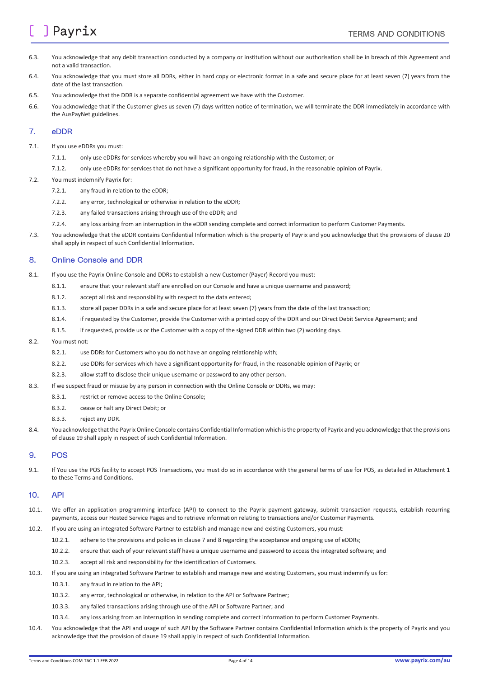## **J** Payrix

- 6.3. You acknowledge that any debit transaction conducted by a company or institution without our authorisation shall be in breach of this Agreement and not a valid transaction.
- 6.4. You acknowledge that you must store all DDRs, either in hard copy or electronic format in a safe and secure place for at least seven (7) years from the date of the last transaction.
- 6.5. You acknowledge that the DDR is a separate confidential agreement we have with the Customer.
- 6.6. You acknowledge that if the Customer gives us seven (7) days written notice of termination, we will terminate the DDR immediately in accordance with the AusPayNet guidelines.

#### <span id="page-3-0"></span>7. eDDR

- 7.1. If you use eDDRs you must:
	- 7.1.1. only use eDDRs for services whereby you will have an ongoing relationship with the Customer; or
	- 7.1.2. only use eDDRs for services that do not have a significant opportunity for fraud, in the reasonable opinion of Payrix.
- 7.2. You must indemnify Payrix for:
	- 7.2.1. any fraud in relation to the eDDR;
	- 7.2.2. any error, technological or otherwise in relation to the eDDR;
	- 7.2.3. any failed transactions arising through use of the eDDR; and
	- 7.2.4. any loss arising from an interruption in the eDDR sending complete and correct information to perform Customer Payments.
- 7.3. You acknowledge that the eDDR contains Confidential Information which is the property of Payrix and you acknowledge that the provisions of claus[e 20](#page-7-0) shall apply in respect of such Confidential Information.

#### <span id="page-3-1"></span>8. Online Console and DDR

- 8.1. If you use the Payrix Online Console and DDRs to establish a new Customer (Payer) Record you must:
	- 8.1.1. ensure that your relevant staff are enrolled on our Console and have a unique username and password;
	- 8.1.2. accept all risk and responsibility with respect to the data entered;
	- 8.1.3. store all paper DDRs in a safe and secure place for at least seven (7) years from the date of the last transaction;
	- 8.1.4. if requested by the Customer, provide the Customer with a printed copy of the DDR and our Direct Debit Service Agreement; and
	- 8.1.5. if requested, provide us or the Customer with a copy of the signed DDR within two (2) working days.

#### 8.2. You must not:

- 8.2.1. use DDRs for Customers who you do not have an ongoing relationship with;
- 8.2.2. use DDRs for services which have a significant opportunity for fraud, in the reasonable opinion of Payrix; or
- 8.2.3. allow staff to disclose their unique username or password to any other person.
- 8.3. If we suspect fraud or misuse by any person in connection with the Online Console or DDRs, we may:
	- 8.3.1. restrict or remove access to the Online Console;
	- 8.3.2. cease or halt any Direct Debit; or
	- 8.3.3. reject any DDR.
- 8.4. You acknowledge that the Payrix Online Console contains Confidential Information which is the property of Payrix and you acknowledge that the provisions of clause 19 shall apply in respect of such Confidential Information.

#### 9. POS

9.1. If You use the POS facility to accept POS Transactions, you must do so in accordance with the general terms of use for POS, as detailed in Attachment 1 to these Terms and Conditions.

#### 10. API

- 10.1. We offer an application programming interface (API) to connect to the Payrix payment gateway, submit transaction requests, establish recurring payments, access our Hosted Service Pages and to retrieve information relating to transactions and/or Customer Payments.
- 10.2. If you are using an integrated Software Partner to establish and manage new and existing Customers, you must:
	- 10.2.1. adhere to the provisions and policies in claus[e 7](#page-3-0) an[d 8](#page-3-1) regarding the acceptance and ongoing use of eDDRs;
	- 10.2.2. ensure that each of your relevant staff have a unique username and password to access the integrated software; and
	- 10.2.3. accept all risk and responsibility for the identification of Customers.
- 10.3. If you are using an integrated Software Partner to establish and manage new and existing Customers, you must indemnify us for:
	- 10.3.1. any fraud in relation to the API;
	- 10.3.2. any error, technological or otherwise, in relation to the API or Software Partner;
	- 10.3.3. any failed transactions arising through use of the API or Software Partner; and
	- 10.3.4. any loss arising from an interruption in sending complete and correct information to perform Customer Payments.
- 10.4. You acknowledge that the API and usage of such API by the Software Partner contains Confidential Information which is the property of Payrix and you acknowledge that the provision of claus[e 19](#page-7-1) shall apply in respect of such Confidential Information.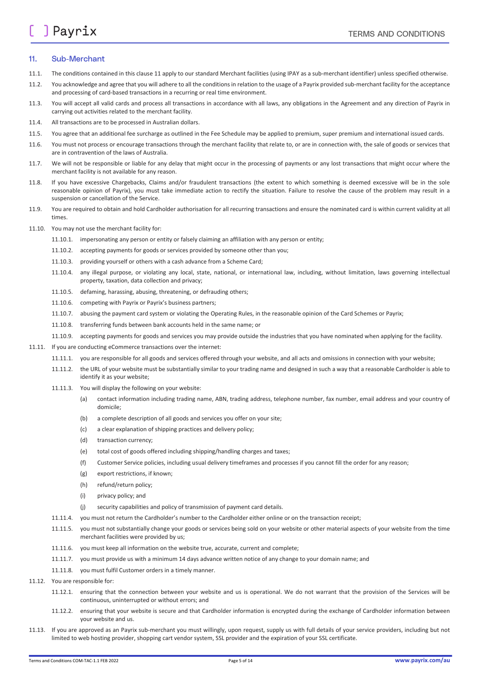#### <span id="page-4-0"></span>11. Sub-Merchant

- 11.1. The conditions contained in this claus[e 11](#page-4-0) apply to our standard Merchant facilities (using IPAY as a sub-merchant identifier) unless specified otherwise.
- 11.2. You acknowledge and agree that you will adhere to all the conditions in relation to the usage of a Payrix provided sub-merchant facility for the acceptance and processing of card-based transactions in a recurring or real time environment.
- 11.3. You will accept all valid cards and process all transactions in accordance with all laws, any obligations in the Agreement and any direction of Payrix in carrying out activities related to the merchant facility.
- 11.4. All transactions are to be processed in Australian dollars.
- 11.5. You agree that an additional fee surcharge as outlined in the Fee Schedule may be applied to premium, super premium and international issued cards.
- 11.6. You must not process or encourage transactions through the merchant facility that relate to, or are in connection with, the sale of goods or services that are in contravention of the laws of Australia.
- 11.7. We will not be responsible or liable for any delay that might occur in the processing of payments or any lost transactions that might occur where the merchant facility is not available for any reason.
- 11.8. If you have excessive Chargebacks, Claims and/or fraudulent transactions (the extent to which something is deemed excessive will be in the sole reasonable opinion of Payrix), you must take immediate action to rectify the situation. Failure to resolve the cause of the problem may result in a suspension or cancellation of the Service.
- 11.9. You are required to obtain and hold Cardholder authorisation for all recurring transactions and ensure the nominated card is within current validity at all times.
- 11.10. You may not use the merchant facility for:
	- 11.10.1. impersonating any person or entity or falsely claiming an affiliation with any person or entity;
	- 11.10.2. accepting payments for goods or services provided by someone other than you;
	- 11.10.3. providing yourself or others with a cash advance from a Scheme Card;
	- 11.10.4. any illegal purpose, or violating any local, state, national, or international law, including, without limitation, laws governing intellectual property, taxation, data collection and privacy;
	- 11.10.5. defaming, harassing, abusing, threatening, or defrauding others;
	- 11.10.6. competing with Payrix or Payrix's business partners;
	- 11.10.7. abusing the payment card system or violating the Operating Rules, in the reasonable opinion of the Card Schemes or Payrix;
	- 11.10.8. transferring funds between bank accounts held in the same name; or
	- 11.10.9. accepting payments for goods and services you may provide outside the industries that you have nominated when applying for the facility.
- 11.11. If you are conducting eCommerce transactions over the internet:
	- 11.11.1. you are responsible for all goods and services offered through your website, and all acts and omissions in connection with your website;
	- 11.11.2. the URL of your website must be substantially similar to your trading name and designed in such a way that a reasonable Cardholder is able to identify it as your website;
	- 11.11.3. You will display the following on your website:
		- (a) contact information including trading name, ABN, trading address, telephone number, fax number, email address and your country of domicile;
		- (b) a complete description of all goods and services you offer on your site;
		- (c) a clear explanation of shipping practices and delivery policy;
		- (d) transaction currency;
		- (e) total cost of goods offered including shipping/handling charges and taxes;
		- (f) Customer Service policies, including usual delivery timeframes and processes if you cannot fill the order for any reason;
		- (g) export restrictions, if known;
		- (h) refund/return policy;
		- (i) privacy policy; and
		- (j) security capabilities and policy of transmission of payment card details.
	- 11.11.4. you must not return the Cardholder's number to the Cardholder either online or on the transaction receipt;
	- 11.11.5. you must not substantially change your goods or services being sold on your website or other material aspects of your website from the time merchant facilities were provided by us;
	- 11.11.6. you must keep all information on the website true, accurate, current and complete;
	- 11.11.7. you must provide us with a minimum 14 days advance written notice of any change to your domain name; and
	- 11.11.8. you must fulfil Customer orders in a timely manner.
- 11.12. You are responsible for:
	- 11.12.1. ensuring that the connection between your website and us is operational. We do not warrant that the provision of the Services will be continuous, uninterrupted or without errors; and
	- 11.12.2. ensuring that your website is secure and that Cardholder information is encrypted during the exchange of Cardholder information between your website and us.
- 11.13. If you are approved as an Payrix sub-merchant you must willingly, upon request, supply us with full details of your service providers, including but not limited to web hosting provider, shopping cart vendor system, SSL provider and the expiration of your SSL certificate.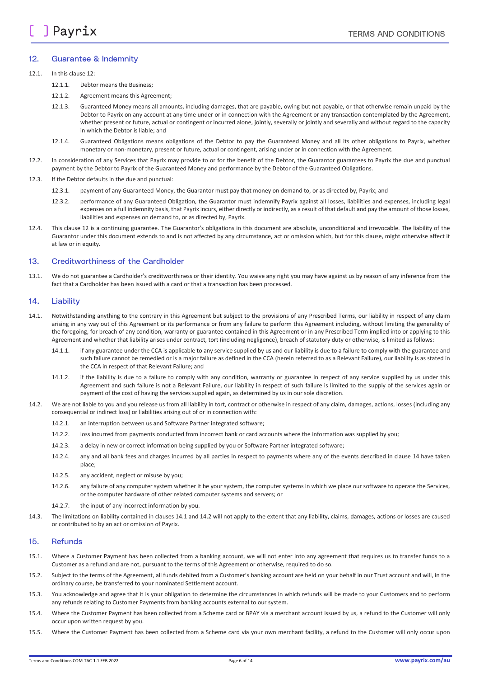#### <span id="page-5-1"></span>12. Guarantee & Indemnity

#### 12.1 In this clause  $12<sup>1</sup>$

- 12.1.1. Debtor means the Business;
- 12.1.2. Agreement means this Agreement;
- 12.1.3. Guaranteed Money means all amounts, including damages, that are payable, owing but not payable, or that otherwise remain unpaid by the Debtor to Payrix on any account at any time under or in connection with the Agreement or any transaction contemplated by the Agreement, whether present or future, actual or contingent or incurred alone, jointly, severally or jointly and severally and without regard to the capacity in which the Debtor is liable; and
- 12.1.4. Guaranteed Obligations means obligations of the Debtor to pay the Guaranteed Money and all its other obligations to Payrix, whether monetary or non-monetary, present or future, actual or contingent, arising under or in connection with the Agreement.
- 12.2. In consideration of any Services that Payrix may provide to or for the benefit of the Debtor, the Guarantor guarantees to Payrix the due and punctual payment by the Debtor to Payrix of the Guaranteed Money and performance by the Debtor of the Guaranteed Obligations.
- 12.3. If the Debtor defaults in the due and punctual:
	- 12.3.1. payment of any Guaranteed Money, the Guarantor must pay that money on demand to, or as directed by, Payrix; and
	- 12.3.2. performance of any Guaranteed Obligation, the Guarantor must indemnify Payrix against all losses, liabilities and expenses, including legal expenses on a full indemnity basis, that Payrix incurs, either directly or indirectly, as a result of that default and pay the amount of those losses, liabilities and expenses on demand to, or as directed by, Payrix.
- 12.4. This claus[e 12](#page-5-1) is a continuing guarantee. The Guarantor's obligations in this document are absolute, unconditional and irrevocable. The liability of the Guarantor under this document extends to and is not affected by any circumstance, act or omission which, but for this clause, might otherwise affect it at law or in equity.

#### 13. Creditworthiness of the Cardholder

13.1. We do not guarantee a Cardholder's creditworthiness or their identity. You waive any right you may have against us by reason of any inference from the fact that a Cardholder has been issued with a card or that a transaction has been processed.

#### <span id="page-5-0"></span>14. Liability

- <span id="page-5-2"></span>14.1. Notwithstanding anything to the contrary in this Agreement but subject to the provisions of any Prescribed Terms, our liability in respect of any claim arising in any way out of this Agreement or its performance or from any failure to perform this Agreement including, without limiting the generality of the foregoing, for breach of any condition, warranty or guarantee contained in this Agreement or in any Prescribed Term implied into or applying to this Agreement and whether that liability arises under contract, tort (including negligence), breach of statutory duty or otherwise, is limited as follows:
	- 14.1.1. if any guarantee under the CCA is applicable to any service supplied by us and our liability is due to a failure to comply with the guarantee and such failure cannot be remedied or is a major failure as defined in the CCA (herein referred to as a Relevant Failure), our liability is as stated in the CCA in respect of that Relevant Failure; and
	- 14.1.2. if the liability is due to a failure to comply with any condition, warranty or guarantee in respect of any service supplied by us under this Agreement and such failure is not a Relevant Failure, our liability in respect of such failure is limited to the supply of the services again or payment of the cost of having the services supplied again, as determined by us in our sole discretion.
- <span id="page-5-3"></span>14.2. We are not liable to you and you release us from all liability in tort, contract or otherwise in respect of any claim, damages, actions, losses (including any consequential or indirect loss) or liabilities arising out of or in connection with:
	- 14.2.1. an interruption between us and Software Partner integrated software;
	- 14.2.2. loss incurred from payments conducted from incorrect bank or card accounts where the information was supplied by you;
	- 14.2.3. a delay in new or correct information being supplied by you or Software Partner integrated software;
	- 14.2.4. any and all bank fees and charges incurred by all parties in respect to payments where any of the events described in clause [14](#page-5-0) have taken place;
	- 14.2.5. any accident, neglect or misuse by you;
	- 14.2.6. any failure of any computer system whether it be your system, the computer systems in which we place our software to operate the Services, or the computer hardware of other related computer systems and servers; or
	- 14.2.7. the input of any incorrect information by you.
- 14.3. The limitations on liability contained in clause[s 14.1](#page-5-2) an[d 14.2](#page-5-3) will not apply to the extent that any liability, claims, damages, actions or losses are caused or contributed to by an act or omission of Payrix.

#### 15. Refunds

- 15.1. Where a Customer Payment has been collected from a banking account, we will not enter into any agreement that requires us to transfer funds to a Customer as a refund and are not, pursuant to the terms of this Agreement or otherwise, required to do so.
- 15.2. Subject to the terms of the Agreement, all funds debited from a Customer's banking account are held on your behalf in our Trust account and will, in the ordinary course, be transferred to your nominated Settlement account.
- 15.3. You acknowledge and agree that it is your obligation to determine the circumstances in which refunds will be made to your Customers and to perform any refunds relating to Customer Payments from banking accounts external to our system.
- 15.4. Where the Customer Payment has been collected from a Scheme card or BPAY via a merchant account issued by us, a refund to the Customer will only occur upon written request by you.
- 15.5. Where the Customer Payment has been collected from a Scheme card via your own merchant facility, a refund to the Customer will only occur upon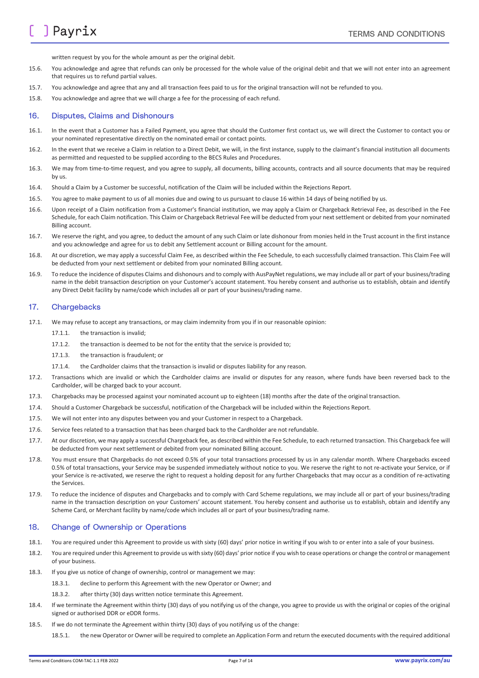written request by you for the whole amount as per the original debit.

- 15.6. You acknowledge and agree that refunds can only be processed for the whole value of the original debit and that we will not enter into an agreement that requires us to refund partial values.
- 15.7. You acknowledge and agree that any and all transaction fees paid to us for the original transaction will not be refunded to you.
- 15.8. You acknowledge and agree that we will charge a fee for the processing of each refund.

#### <span id="page-6-0"></span>16. Disputes, Claims and Dishonours

- 16.1. In the event that a Customer has a Failed Payment, you agree that should the Customer first contact us, we will direct the Customer to contact you or your nominated representative directly on the nominated email or contact points.
- 16.2. In the event that we receive a Claim in relation to a Direct Debit, we will, in the first instance, supply to the claimant's financial institution all documents as permitted and requested to be supplied according to the BECS Rules and Procedures.
- 16.3. We may from time-to-time request, and you agree to supply, all documents, billing accounts, contracts and all source documents that may be required by us.
- 16.4. Should a Claim by a Customer be successful, notification of the Claim will be included within the Rejections Report.
- 16.5. You agree to make payment to us of all monies due and owing to us pursuant to claus[e 16](#page-6-0) within 14 days of being notified by us.
- 16.6. Upon receipt of a Claim notification from a Customer's financial institution, we may apply a Claim or Chargeback Retrieval Fee, as described in the Fee Schedule, for each Claim notification. This Claim or Chargeback Retrieval Fee will be deducted from your next settlement or debited from your nominated Billing account.
- 16.7. We reserve the right, and you agree, to deduct the amount of any such Claim or late dishonour from monies held in the Trust account in the first instance and you acknowledge and agree for us to debit any Settlement account or Billing account for the amount.
- 16.8. At our discretion, we may apply a successful Claim Fee, as described within the Fee Schedule, to each successfully claimed transaction. This Claim Fee will be deducted from your next settlement or debited from your nominated Billing account.
- 16.9. To reduce the incidence of disputes Claims and dishonours and to comply with AusPayNet regulations, we may include all or part of your business/trading name in the debit transaction description on your Customer's account statement. You hereby consent and authorise us to establish, obtain and identify any Direct Debit facility by name/code which includes all or part of your business/trading name.

#### 17. Chargebacks

- 17.1. We may refuse to accept any transactions, or may claim indemnity from you if in our reasonable opinion:
	- 17.1.1 the transaction is invalided
	- 17.1.2. the transaction is deemed to be not for the entity that the service is provided to;
	- 17.1.3. the transaction is fraudulent; or
	- 17.1.4. the Cardholder claims that the transaction is invalid or disputes liability for any reason.
- 17.2. Transactions which are invalid or which the Cardholder claims are invalid or disputes for any reason, where funds have been reversed back to the Cardholder, will be charged back to your account.
- 17.3. Chargebacks may be processed against your nominated account up to eighteen (18) months after the date of the original transaction.
- 17.4. Should a Customer Chargeback be successful, notification of the Chargeback will be included within the Rejections Report.
- 17.5. We will not enter into any disputes between you and your Customer in respect to a Chargeback.
- 17.6. Service fees related to a transaction that has been charged back to the Cardholder are not refundable.
- 17.7. At our discretion, we may apply a successful Chargeback fee, as described within the Fee Schedule, to each returned transaction. This Chargeback fee will be deducted from your next settlement or debited from your nominated Billing account.
- 17.8. You must ensure that Chargebacks do not exceed 0.5% of your total transactions processed by us in any calendar month. Where Chargebacks exceed 0.5% of total transactions, your Service may be suspended immediately without notice to you. We reserve the right to not re-activate your Service, or if your Service is re-activated, we reserve the right to request a holding deposit for any further Chargebacks that may occur as a condition of re-activating the Services.
- 17.9. To reduce the incidence of disputes and Chargebacks and to comply with Card Scheme regulations, we may include all or part of your business/trading name in the transaction description on your Customers' account statement. You hereby consent and authorise us to establish, obtain and identify any Scheme Card, or Merchant facility by name/code which includes all or part of your business/trading name.

#### <span id="page-6-1"></span>18. Change of Ownership or Operations

- 18.1. You are required under this Agreement to provide us with sixty (60) days' prior notice in writing if you wish to or enter into a sale of your business.
- 18.2. You are required under this Agreement to provide us with sixty (60) days' prior notice if you wish to cease operations or change the control or management of your business.
- 18.3. If you give us notice of change of ownership, control or management we may:
	- 18.3.1. decline to perform this Agreement with the new Operator or Owner; and
	- 18.3.2. after thirty (30) days written notice terminate this Agreement.
- 18.4. If we terminate the Agreement within thirty (30) days of you notifying us of the change, you agree to provide us with the original or copies of the original signed or authorised DDR or eDDR forms.
- 18.5. If we do not terminate the Agreement within thirty (30) days of you notifying us of the change:
	- 18.5.1. the new Operator or Owner will be required to complete an Application Form and return the executed documents with the required additional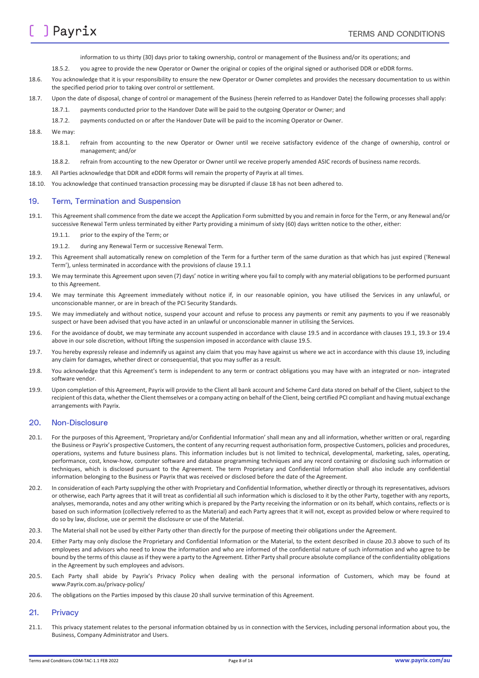information to us thirty (30) days prior to taking ownership, control or management of the Business and/or its operations; and

- 18.5.2. you agree to provide the new Operator or Owner the original or copies of the original signed or authorised DDR or eDDR forms.
- 18.6. You acknowledge that it is your responsibility to ensure the new Operator or Owner completes and provides the necessary documentation to us within the specified period prior to taking over control or settlement.
- 18.7. Upon the date of disposal, change of control or management of the Business (herein referred to as Handover Date) the following processes shall apply:
	- 18.7.1. payments conducted prior to the Handover Date will be paid to the outgoing Operator or Owner; and
	- 18.7.2. payments conducted on or after the Handover Date will be paid to the incoming Operator or Owner.
- 18.8. We may:
	- 18.8.1. refrain from accounting to the new Operator or Owner until we receive satisfactory evidence of the change of ownership, control or management; and/or
	- 18.8.2. refrain from accounting to the new Operator or Owner until we receive properly amended ASIC records of business name records.
- 18.9. All Parties acknowledge that DDR and eDDR forms will remain the property of Payrix at all times.
- 18.10. You acknowledge that continued transaction processing may be disrupted if claus[e 18](#page-6-1) has not been adhered to.

#### <span id="page-7-1"></span>19. Term, Termination and Suspension

- <span id="page-7-4"></span><span id="page-7-2"></span>19.1. This Agreement shall commence from the date we accept the Application Form submitted by you and remain in force for the Term, or any Renewal and/or successive Renewal Term unless terminated by either Party providing a minimum of sixty (60) days written notice to the other, either:
	- 19.1.1. prior to the expiry of the Term; or
	- 19.1.2. during any Renewal Term or successive Renewal Term.
- 19.2. This Agreement shall automatically renew on completion of the Term for a further term of the same duration as that which has just expired ('Renewal Term'), unless terminated in accordance with the provisions of claus[e 19.1.1](#page-7-2)
- <span id="page-7-5"></span>19.3. We may terminate this Agreement upon seven (7) days' notice in writing where you fail to comply with any material obligations to be performed pursuant to this Agreement.
- <span id="page-7-6"></span>19.4. We may terminate this Agreement immediately without notice if, in our reasonable opinion, you have utilised the Services in any unlawful, or unconscionable manner, or are in breach of the PCI Security Standards.
- <span id="page-7-3"></span>19.5. We may immediately and without notice, suspend your account and refuse to process any payments or remit any payments to you if we reasonably suspect or have been advised that you have acted in an unlawful or unconscionable manner in utilising the Services.
- 19.6. For the avoidance of doubt, we may terminate any account suspended in accordance with clause [19.5](#page-7-3) and in accordance with clause[s 19.1,](#page-7-4) [19.3](#page-7-5) o[r 19.4](#page-7-6) above in our sole discretion, without lifting the suspension imposed in accordance with claus[e 19.5.](#page-7-3)
- 19.7. You hereby expressly release and indemnify us against any claim that you may have against us where we act in accordance with this claus[e 19,](#page-7-1) including any claim for damages, whether direct or consequential, that you may suffer as a result.
- 19.8. You acknowledge that this Agreement's term is independent to any term or contract obligations you may have with an integrated or non- integrated software vendor.
- 19.9. Upon completion of this Agreement, Payrix will provide to the Client all bank account and Scheme Card data stored on behalf of the Client, subject to the recipient of this data, whether the Client themselves or a company acting on behalf of the Client, being certified PCI compliant and having mutual exchange arrangements with Payrix.

#### <span id="page-7-0"></span>20. Non-Disclosure

- 20.1. For the purposes of this Agreement, 'Proprietary and/or Confidential Information' shall mean any and all information, whether written or oral, regarding the Business or Payrix's prospective Customers, the content of any recurring request authorisation form, prospective Customers, policies and procedures, operations, systems and future business plans. This information includes but is not limited to technical, developmental, marketing, sales, operating, performance, cost, know-how, computer software and database programming techniques and any record containing or disclosing such information or techniques, which is disclosed pursuant to the Agreement. The term Proprietary and Confidential Information shall also include any confidential information belonging to the Business or Payrix that was received or disclosed before the date of the Agreement.
- 20.2. In consideration of each Party supplying the other with Proprietary and Confidential Information, whether directly or through its representatives, advisors or otherwise, each Party agrees that it will treat as confidential all such information which is disclosed to it by the other Party, together with any reports, analyses, memoranda, notes and any other writing which is prepared by the Party receiving the information or on its behalf, which contains, reflects or is based on such information (collectively referred to as the Material) and each Party agrees that it will not, except as provided below or where required to do so by law, disclose, use or permit the disclosure or use of the Material.
- <span id="page-7-7"></span>20.3. The Material shall not be used by either Party other than directly for the purpose of meeting their obligations under the Agreement.
- 20.4. Either Party may only disclose the Proprietary and Confidential Information or the Material, to the extent described in claus[e 20.3](#page-7-7) above to such of its employees and advisors who need to know the information and who are informed of the confidential nature of such information and who agree to be bound by the terms of this clause as if they were a party to the Agreement. Either Party shall procure absolute compliance of the confidentiality obligations in the Agreement by such employees and advisors.
- 20.5. Each Party shall abide by Payrix's Privacy Policy when dealing with the personal information of Customers, which may be found at www.Payrix.com.au/privacy-policy/
- 20.6. The obligations on the Parties imposed by this clause 20 shall survive termination of this Agreement.

#### 21. Privacy

21.1. This privacy statement relates to the personal information obtained by us in connection with the Services, including personal information about you, the Business, Company Administrator and Users.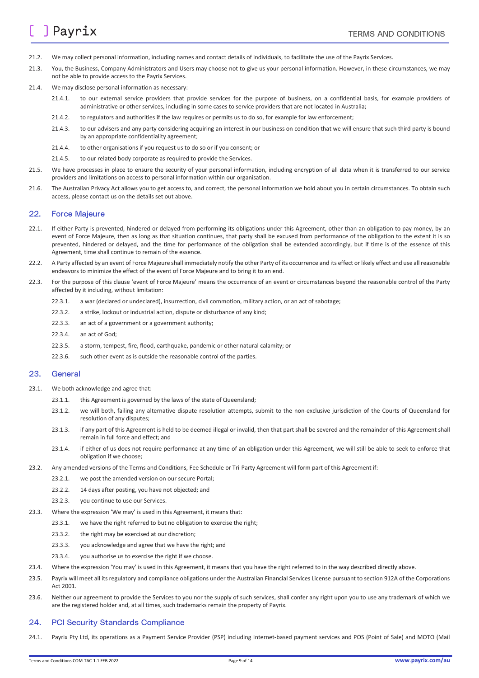- 21.2. We may collect personal information, including names and contact details of individuals, to facilitate the use of the Payrix Services.
- 21.3. You, the Business, Company Administrators and Users may choose not to give us your personal information. However, in these circumstances, we may not be able to provide access to the Payrix Services.
- 21.4. We may disclose personal information as necessary:
	- 21.4.1. to our external service providers that provide services for the purpose of business, on a confidential basis, for example providers of administrative or other services, including in some cases to service providers that are not located in Australia;
	- 21.4.2. to regulators and authorities if the law requires or permits us to do so, for example for law enforcement;
	- 21.4.3. to our advisers and any party considering acquiring an interest in our business on condition that we will ensure that such third party is bound by an appropriate confidentiality agreement;
	- 21.4.4. to other organisations if you request us to do so or if you consent; or
	- 21.4.5. to our related body corporate as required to provide the Services.
- 21.5. We have processes in place to ensure the security of your personal information, including encryption of all data when it is transferred to our service providers and limitations on access to personal information within our organisation.
- 21.6. The Australian Privacy Act allows you to get access to, and correct, the personal information we hold about you in certain circumstances. To obtain such access, please contact us on the details set out above.

#### 22. Force Majeure

- 22.1. If either Party is prevented, hindered or delayed from performing its obligations under this Agreement, other than an obligation to pay money, by an event of Force Majeure, then as long as that situation continues, that party shall be excused from performance of the obligation to the extent it is so prevented, hindered or delayed, and the time for performance of the obligation shall be extended accordingly, but if time is of the essence of this Agreement, time shall continue to remain of the essence.
- 22.2. A Party affected by an event of Force Majeure shall immediately notify the other Party of its occurrence and its effect or likely effect and use all reasonable endeavors to minimize the effect of the event of Force Majeure and to bring it to an end.
- 22.3. For the purpose of this clause 'event of Force Majeure' means the occurrence of an event or circumstances beyond the reasonable control of the Party affected by it including, without limitation:
	- 22.3.1. a war (declared or undeclared), insurrection, civil commotion, military action, or an act of sabotage;
	- 22.3.2. a strike, lockout or industrial action, dispute or disturbance of any kind;
	- 22.3.3. an act of a government or a government authority;
	- 22.3.4. an act of God;
	- 22.3.5. a storm, tempest, fire, flood, earthquake, pandemic or other natural calamity; or
	- 22.3.6. such other event as is outside the reasonable control of the parties.

#### 23. General

- 23.1. We both acknowledge and agree that:
	- 23.1.1. this Agreement is governed by the laws of the state of Queensland;
	- 23.1.2. we will both, failing any alternative dispute resolution attempts, submit to the non-exclusive jurisdiction of the Courts of Queensland for resolution of any disputes;
	- 23.1.3. if any part of this Agreement is held to be deemed illegal or invalid, then that part shall be severed and the remainder of this Agreement shall remain in full force and effect; and
	- 23.1.4. if either of us does not require performance at any time of an obligation under this Agreement, we will still be able to seek to enforce that obligation if we choose;
- 23.2. Any amended versions of the Terms and Conditions, Fee Schedule or Tri-Party Agreement will form part of this Agreement if:
	- 23.2.1. we post the amended version on our secure Portal;
	- 23.2.2. 14 days after posting, you have not objected; and
	- 23.2.3. you continue to use our Services.
- 23.3. Where the expression 'We may' is used in this Agreement, it means that:
	- 23.3.1. we have the right referred to but no obligation to exercise the right;
	- 23.3.2. the right may be exercised at our discretion;
	- 23.3.3. you acknowledge and agree that we have the right; and
	- 23.3.4. you authorise us to exercise the right if we choose.
- 23.4. Where the expression 'You may' is used in this Agreement, it means that you have the right referred to in the way described directly above.
- 23.5. Payrix will meet all its regulatory and compliance obligations under the Australian Financial Services License pursuant to section 912A of the Corporations Act 2001.
- 23.6. Neither our agreement to provide the Services to you nor the supply of such services, shall confer any right upon you to use any trademark of which we are the registered holder and, at all times, such trademarks remain the property of Payrix.

#### <span id="page-8-0"></span>24. PCI Security Standards Compliance

24.1. Payrix Pty Ltd, its operations as a Payment Service Provider (PSP) including Internet-based payment services and POS (Point of Sale) and MOTO (Mail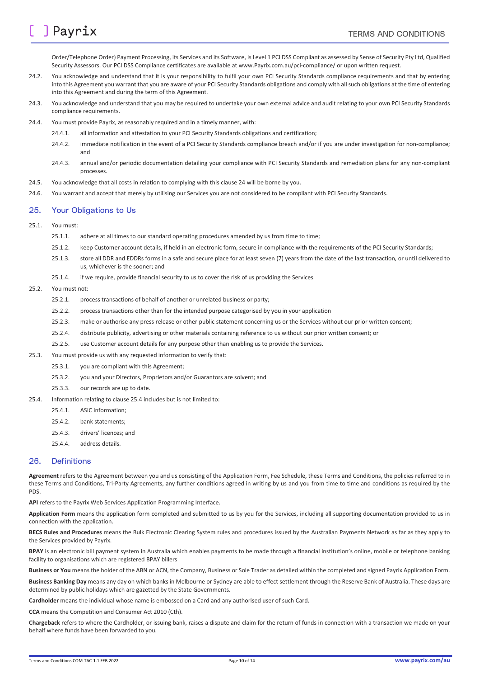Order/Telephone Order) Payment Processing, its Services and its Software, is Level 1 PCI DSS Compliant as assessed by Sense of Security Pty Ltd, Qualified Security Assessors. Our PCI DSS Compliance certificates are available at www.Payrix.com.au/pci-compliance/ or upon written request.

- 24.2. You acknowledge and understand that it is your responsibility to fulfil your own PCI Security Standards compliance requirements and that by entering into this Agreement you warrant that you are aware of your PCI Security Standards obligations and comply with all such obligations at the time of entering into this Agreement and during the term of this Agreement.
- 24.3. You acknowledge and understand that you may be required to undertake your own external advice and audit relating to your own PCI Security Standards compliance requirements.
- 24.4. You must provide Payrix, as reasonably required and in a timely manner, with:
	- 24.4.1. all information and attestation to your PCI Security Standards obligations and certification;
	- 24.4.2. immediate notification in the event of a PCI Security Standards compliance breach and/or if you are under investigation for non-compliance; and
	- 24.4.3. annual and/or periodic documentation detailing your compliance with PCI Security Standards and remediation plans for any non-compliant processes.
- 24.5. You acknowledge that all costs in relation to complying with this clause [24](#page-8-0) will be borne by you.
- 24.6. You warrant and accept that merely by utilising our Services you are not considered to be compliant with PCI Security Standards.

#### 25. Your Obligations to Us

- 25.1. You must:
	- 25.1.1. adhere at all times to our standard operating procedures amended by us from time to time;
	- 25.1.2. keep Customer account details, if held in an electronic form, secure in compliance with the requirements of the PCI Security Standards;
	- 25.1.3. store all DDR and EDDRs forms in a safe and secure place for at least seven (7) years from the date of the last transaction, or until delivered to us, whichever is the sooner; and
	- 25.1.4. if we require, provide financial security to us to cover the risk of us providing the Services

#### 25.2. You must not:

- 25.2.1. process transactions of behalf of another or unrelated business or party;
- 25.2.2. process transactions other than for the intended purpose categorised by you in your application
- 25.2.3. make or authorise any press release or other public statement concerning us or the Services without our prior written consent;
- 25.2.4. distribute publicity, advertising or other materials containing reference to us without our prior written consent; or
- 25.2.5. use Customer account details for any purpose other than enabling us to provide the Services.
- 25.3. You must provide us with any requested information to verify that:
	- 25.3.1. you are compliant with this Agreement;
	- 25.3.2. you and your Directors, Proprietors and/or Guarantors are solvent; and
	- 25.3.3. our records are up to date.
- <span id="page-9-0"></span>25.4. Information relating to claus[e 25.4](#page-9-0) includes but is not limited to:
	- 25.4.1. ASIC information;
	- 25.4.2. bank statements;
	- 25.4.3. drivers' licences; and
	- 25.4.4. address details.

#### 26. Definitions

**Agreement** refers to the Agreement between you and us consisting of the Application Form, Fee Schedule, these Terms and Conditions, the policies referred to in these Terms and Conditions, Tri-Party Agreements, any further conditions agreed in writing by us and you from time to time and conditions as required by the PDS.

**API** refers to the Payrix Web Services Application Programming Interface.

**Application Form** means the application form completed and submitted to us by you for the Services, including all supporting documentation provided to us in connection with the application.

**BECS Rules and Procedures** means the Bulk Electronic Clearing System rules and procedures issued by the Australian Payments Network as far as they apply to the Services provided by Payrix.

**BPAY** is an electronic bill payment system in Australia which enables payments to be made through a financial institution's online, mobile or telephone banking facility to organisations which are registered BPAY billers

**Business or You** means the holder of the ABN or ACN, the Company, Business or Sole Trader as detailed within the completed and signed Payrix Application Form.

**Business Banking Day** means any day on which banks in Melbourne or Sydney are able to effect settlement through the Reserve Bank of Australia. These days are determined by public holidays which are gazetted by the State Governments.

**Cardholder** means the individual whose name is embossed on a Card and any authorised user of such Card.

**CCA** means the Competition and Consumer Act 2010 (Cth).

**Chargeback** refers to where the Cardholder, or issuing bank, raises a dispute and claim for the return of funds in connection with a transaction we made on your behalf where funds have been forwarded to you.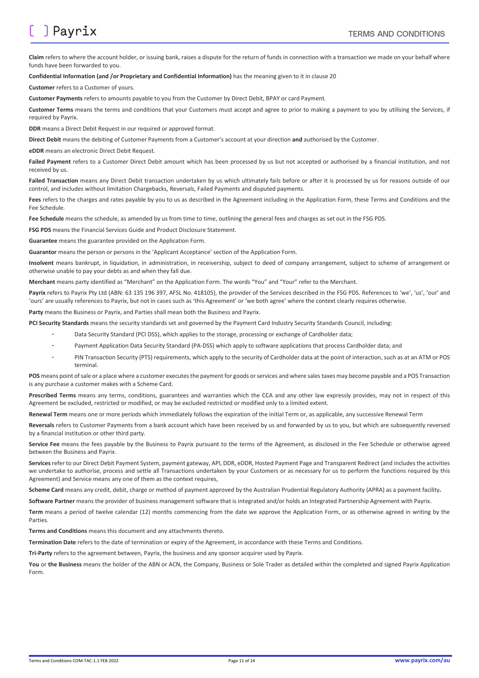## ] Payrix

**Claim** refers to where the account holder, or issuing bank, raises a dispute for the return of funds in connection with a transaction we made on your behalf where funds have been forwarded to you.

#### **Confidential Information (and /or Proprietary and Confidential Information)** has the meaning given to it in claus[e 20](#page-7-0)

**Customer** refers to a Customer of yours.

**Customer Payments** refers to amounts payable to you from the Customer by Direct Debit, BPAY or card Payment.

**Customer Terms** means the terms and conditions that your Customers must accept and agree to prior to making a payment to you by utilising the Services, if required by Payrix.

**DDR** means a Direct Debit Request in our required or approved format.

**Direct Debit** means the debiting of Customer Payments from a Customer's account at your direction **and** authorised by the Customer.

**eDDR** means an electronic Direct Debit Request.

Failed Payment refers to a Customer Direct Debit amount which has been processed by us but not accepted or authorised by a financial institution, and not received by us.

Failed Transaction means any Direct Debit transaction undertaken by us which ultimately fails before or after it is processed by us for reasons outside of our control, and includes without limitation Chargebacks, Reversals, Failed Payments and disputed payments.

**Fees** refers to the charges and rates payable by you to us as described in the Agreement including in the Application Form, these Terms and Conditions and the Fee Schedule.

**Fee Schedule** means the schedule, as amended by us from time to time, outlining the general fees and charges as set out in the FSG PDS.

**FSG PDS** means the Financial Services Guide and Product Disclosure Statement.

**Guarantee** means the guarantee provided on the Application Form.

**Guarantor** means the person or persons in the 'Applicant Acceptance' section of the Application Form.

**Insolvent** means bankrupt, in liquidation, in administration, in receivership, subject to deed of company arrangement, subject to scheme of arrangement or otherwise unable to pay your debts as and when they fall due.

**Merchant** means party identified as "Merchant" on the Application Form. The words "You" and "Your" refer to the Merchant.

Payrix refers to Payrix Pty Ltd (ABN: 63 135 196 397, AFSL No. 418105), the provider of the Services described in the FSG PDS. References to 'we', 'us', 'our' and 'ours' are usually references to Payrix, but not in cases such as 'this Agreement' or 'we both agree' where the context clearly requires otherwise.

**Party** means the Business or Payrix, and Parties shall mean both the Business and Payrix.

**PCI Security Standards** means the security standards set and governed by the Payment Card Industry Security Standards Council, including:

- Data Security Standard (PCI DSS), which applies to the storage, processing or exchange of Cardholder data;
- Payment Application Data Security Standard (PA-DSS) which apply to software applications that process Cardholder data; and
- PIN Transaction Security (PTS) requirements, which apply to the security of Cardholder data at the point of interaction, such as at an ATM or POS terminal.

**POS** means point of sale or a place where a customer executes the payment for goods or services and where sales taxes may become payable and a POS Transaction is any purchase a customer makes with a Scheme Card.

**Prescribed Terms** means any terms, conditions, guarantees and warranties which the CCA and any other law expressly provides, may not in respect of this Agreement be excluded, restricted or modified, or may be excluded restricted or modified only to a limited extent.

**Renewal Term** means one or more periods which immediately follows the expiration of the initial Term or, as applicable, any successive Renewal Term

**Reversals** refers to Customer Payments from a bank account which have been received by us and forwarded by us to you, but which are subsequently reversed by a financial institution or other third party.

**Service Fee** means the fees payable by the Business to Payrix pursuant to the terms of the Agreement, as disclosed in the Fee Schedule or otherwise agreed between the Business and Payrix.

**Services**refer to our Direct Debit Payment System, payment gateway, API, DDR, eDDR, Hosted Payment Page and Transparent Redirect (and includes the activities we undertake to authorise, process and settle all Transactions undertaken by your Customers or as necessary for us to perform the functions required by this Agreement) and Service means any one of them as the context requires,

**Scheme Card** means any credit, debit, charge or method of payment approved by the Australian Prudential Regulatory Authority (APRA) as a payment facility**.** 

**Software Partner** means the provider of business management software that is integrated and/or holds an Integrated Partnership Agreement with Payrix.

**Term** means a period of twelve calendar (12) months commencing from the date we approve the Application Form, or as otherwise agreed in writing by the **Parties** 

**Terms and Conditions** means this document and any attachments thereto.

**Termination Date** refers to the date of termination or expiry of the Agreement, in accordance with these Terms and Conditions.

**Tri-Party** refers to the agreement between, Payrix, the business and any sponsor acquirer used by Payrix.

**You** or **the Business** means the holder of the ABN or ACN, the Company, Business or Sole Trader as detailed within the completed and signed Payrix Application Form.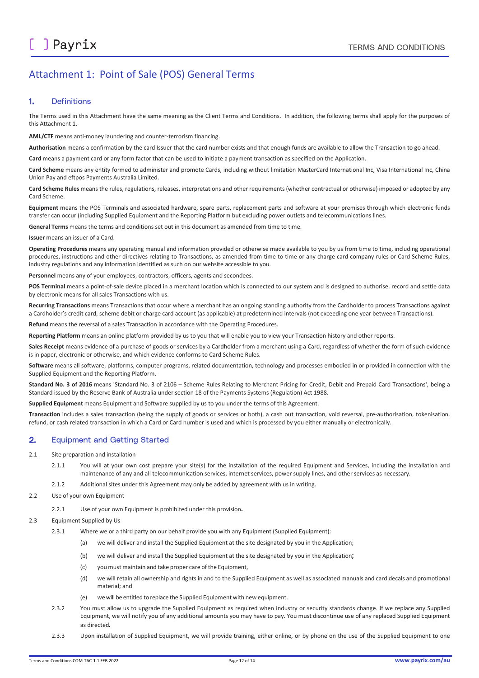### Attachment 1: Point of Sale (POS) General Terms

#### 1. Definitions

The Terms used in this Attachment have the same meaning as the Client Terms and Conditions. In addition, the following terms shall apply for the purposes of this Attachment 1.

**AML/CTF** means anti-money laundering and counter-terrorism financing.

**Authorisation** means a confirmation by the card Issuer that the card number exists and that enough funds are available to allow the Transaction to go ahead.

**Card** means a payment card or any form factor that can be used to initiate a payment transaction as specified on the Application.

**Card Scheme** means any entity formed to administer and promote Cards, including without limitation MasterCard International Inc, Visa International Inc, China Union Pay and eftpos Payments Australia Limited.

**Card Scheme Rules** means the rules, regulations, releases, interpretations and other requirements (whether contractual or otherwise) imposed or adopted by any Card Scheme.

**Equipment** means the POS Terminals and associated hardware, spare parts, replacement parts and software at your premises through which electronic funds transfer can occur (including Supplied Equipment and the Reporting Platform but excluding power outlets and telecommunications lines.

**General Terms** means the terms and conditions set out in this document as amended from time to time.

#### **Issuer** means an issuer of a Card.

**Operating Procedures** means any operating manual and information provided or otherwise made available to you by us from time to time, including operational procedures, instructions and other directives relating to Transactions, as amended from time to time or any charge card company rules or Card Scheme Rules, industry regulations and any information identified as such on our website accessible to you.

**Personnel** means any of your employees, contractors, officers, agents and secondees.

**POS Terminal** means a point-of-sale device placed in a merchant location which is connected to our system and is designed to authorise, record and settle data by electronic means for all sales Transactions with us.

**Recurring Transactions** means Transactions that occur where a merchant has an ongoing standing authority from the Cardholder to process Transactions against a Cardholder's credit card, scheme debit or charge card account (as applicable) at predetermined intervals (not exceeding one year between Transactions).

**Refund** means the reversal of a sales Transaction in accordance with the Operating Procedures.

**Reporting Platform** means an online platform provided by us to you that will enable you to view your Transaction history and other reports.

**Sales Receipt** means evidence of a purchase of goods or services by a Cardholder from a merchant using a Card, regardless of whether the form of such evidence is in paper, electronic or otherwise, and which evidence conforms to Card Scheme Rules.

**Software** means all software, platforms, computer programs, related documentation, technology and processes embodied in or provided in connection with the Supplied Equipment and the Reporting Platform.

**Standard No. 3 of 2016** means 'Standard No. 3 of 2106 – Scheme Rules Relating to Merchant Pricing for Credit, Debit and Prepaid Card Transactions', being a Standard issued by the Reserve Bank of Australia under section 18 of the Payments Systems (Regulation) Act 1988.

**Supplied Equipment** means Equipment and Software supplied by us to you under the terms of this Agreement.

**Transaction** includes a sales transaction (being the supply of goods or services or both), a cash out transaction, void reversal, pre-authorisation, tokenisation, refund, or cash related transaction in which a Card or Card number is used and which is processed by you either manually or electronically.

#### 2. Equipment and Getting Started

#### 2.1 Site preparation and installation

- 2.1.1 You will at your own cost prepare your site(s) for the installation of the required Equipment and Services, including the installation and maintenance of any and all telecommunication services, internet services, power supply lines, and other services as necessary.
- 2.1.2 Additional sites under this Agreement may only be added by agreement with us in writing.
- 2.2 Use of your own Equipment

2.2.1 Use of your own Equipment is prohibited under this provision.

#### 2.3 Equipment Supplied by Us

- 2.3.1 Where we or a third party on our behalf provide you with any Equipment (Supplied Equipment):
	- (a) we will deliver and install the Supplied Equipment at the site designated by you in the Application;
	- (b) we will deliver and install the Supplied Equipment at the site designated by you in the Application;
	- (c) you must maintain and take proper care of the Equipment,
	- (d) we will retain all ownership and rights in and to the Supplied Equipment as well as associated manuals and card decals and promotional material; and
	- (e) we will be entitled to replace the Supplied Equipment with new equipment.
- 2.3.2 You must allow us to upgrade the Supplied Equipment as required when industry or security standards change. If we replace any Supplied Equipment, we will notify you of any additional amounts you may have to pay. You must discontinue use of any replaced Supplied Equipment as directed.
- 2.3.3 Upon installation of Supplied Equipment, we will provide training, either online, or by phone on the use of the Supplied Equipment to one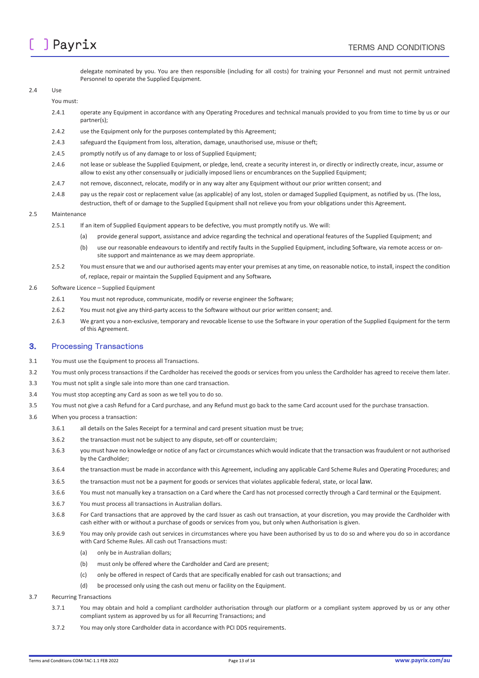

delegate nominated by you. You are then responsible (including for all costs) for training your Personnel and must not permit untrained Personnel to operate the Supplied Equipment.

#### 2.4 Use

#### You must:

- 2.4.1 operate any Equipment in accordance with any Operating Procedures and technical manuals provided to you from time to time by us or our partner(s);
- 2.4.2 use the Equipment only for the purposes contemplated by this Agreement;
- 2.4.3 safeguard the Equipment from loss, alteration, damage, unauthorised use, misuse or theft;
- 2.4.5 promptly notify us of any damage to or loss of Supplied Equipment;
- 2.4.6 not lease or sublease the Supplied Equipment, or pledge, lend, create a security interest in, or directly or indirectly create, incur, assume or allow to exist any other consensually or judicially imposed liens or encumbrances on the Supplied Equipment;
- 2.4.7 not remove, disconnect, relocate, modify or in any way alter any Equipment without our prior written consent; and
- 2.4.8 pay us the repair cost or replacement value (as applicable) of any lost, stolen or damaged Supplied Equipment, as notified by us. (The loss, destruction, theft of or damage to the Supplied Equipment shall not relieve you from your obligations under this Agreement.

#### 2.5 Maintenance

- 2.5.1 If an item of Supplied Equipment appears to be defective, you must promptly notify us. We will:
	- (a) provide general support, assistance and advice regarding the technical and operational features of the Supplied Equipment; and
		- (b) use our reasonable endeavours to identify and rectify faults in the Supplied Equipment, including Software, via remote access or onsite support and maintenance as we may deem appropriate.
- 2.5.2 You must ensure that we and our authorised agents may enter your premises at any time, on reasonable notice, to install, inspect the condition of, replace, repair or maintain the Supplied Equipment and any Software.
- 2.6 Software Licence Supplied Equipment
	- 2.6.1 You must not reproduce, communicate, modify or reverse engineer the Software;
	- 2.6.2 You must not give any third-party access to the Software without our prior written consent; and.
	- 2.6.3 We grant you a non-exclusive, temporary and revocable license to use the Software in your operation of the Supplied Equipment for the term of this Agreement.

#### 3. Processing Transactions

- 3.1 You must use the Equipment to process all Transactions.
- 3.2 You must only process transactions if the Cardholder has received the goods or services from you unless the Cardholder has agreed to receive them later.
- 3.3 You must not split a single sale into more than one card transaction.
- 3.4 You must stop accepting any Card as soon as we tell you to do so.
- 3.5 You must not give a cash Refund for a Card purchase, and any Refund must go back to the same Card account used for the purchase transaction.
- 3.6 When you process a transaction:
	- 3.6.1 all details on the Sales Receipt for a terminal and card present situation must be true;
	- 3.6.2 the transaction must not be subject to any dispute, set-off or counterclaim;
	- 3.6.3 you must have no knowledge or notice of any fact or circumstances which would indicate that the transaction was fraudulent or not authorised by the Cardholder;
	- 3.6.4 the transaction must be made in accordance with this Agreement, including any applicable Card Scheme Rules and Operating Procedures; and
	- 3.6.5 the transaction must not be a payment for goods or services that violates applicable federal, state, or local law.
	- 3.6.6 You must not manually key a transaction on a Card where the Card has not processed correctly through a Card terminal or the Equipment.
	- 3.6.7 You must process all transactions in Australian dollars.
	- 3.6.8 For Card transactions that are approved by the card Issuer as cash out transaction, at your discretion, you may provide the Cardholder with cash either with or without a purchase of goods or services from you, but only when Authorisation is given.
	- 3.6.9 You may only provide cash out services in circumstances where you have been authorised by us to do so and where you do so in accordance with Card Scheme Rules. All cash out Transactions must:
		- (a) only be in Australian dollars;
		- (b) must only be offered where the Cardholder and Card are present;
		- (c) only be offered in respect of Cards that are specifically enabled for cash out transactions; and
		- (d) be processed only using the cash out menu or facility on the Equipment.

#### 3.7 Recurring Transactions

- 3.7.1 You may obtain and hold a compliant cardholder authorisation through our platform or a compliant system approved by us or any other compliant system as approved by us for all Recurring Transactions; and
- 3.7.2 You may only store Cardholder data in accordance with PCI DDS requirements.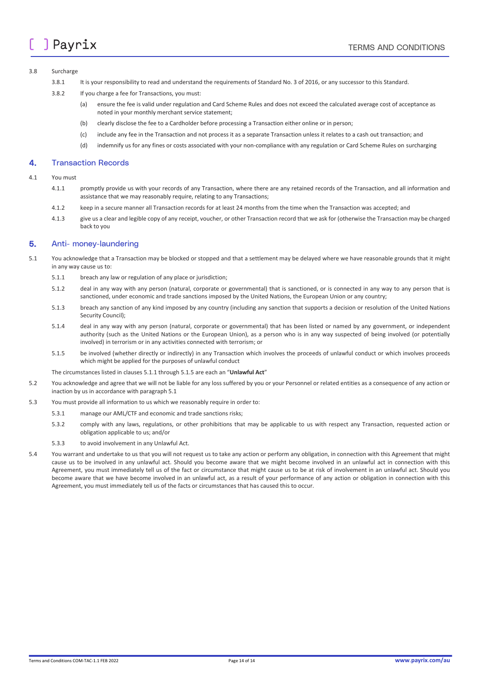#### 3.8 Surcharge

- 3.8.1 It is your responsibility to read and understand the requirements of Standard No. 3 of 2016, or any successor to this Standard.
- 3.8.2 If you charge a fee for Transactions, you must:
	- (a) ensure the fee is valid under regulation and Card Scheme Rules and does not exceed the calculated average cost of acceptance as noted in your monthly merchant service statement;
	- (b) clearly disclose the fee to a Cardholder before processing a Transaction either online or in person;
	- (c) include any fee in the Transaction and not process it as a separate Transaction unless it relates to a cash out transaction; and
	- (d) indemnify us for any fines or costs associated with your non-compliance with any regulation or Card Scheme Rules on surcharging

#### 4. Transaction Records

#### 4.1 You must

- 4.1.1 promptly provide us with your records of any Transaction, where there are any retained records of the Transaction, and all information and assistance that we may reasonably require, relating to any Transactions;
- 4.1.2 keep in a secure manner all Transaction records for at least 24 months from the time when the Transaction was accepted; and
- 4.1.3 give us a clear and legible copy of any receipt, voucher, or other Transaction record that we ask for (otherwise the Transaction may be charged back to you

#### 5. Anti- money-laundering

- 5.1 You acknowledge that a Transaction may be blocked or stopped and that a settlement may be delayed where we have reasonable grounds that it might in any way cause us to:
	- 5.1.1 breach any law or regulation of any place or jurisdiction;
	- 5.1.2 deal in any way with any person (natural, corporate or governmental) that is sanctioned, or is connected in any way to any person that is sanctioned, under economic and trade sanctions imposed by the United Nations, the European Union or any country;
	- 5.1.3 breach any sanction of any kind imposed by any country (including any sanction that supports a decision or resolution of the United Nations Security Council);
	- 5.1.4 deal in any way with any person (natural, corporate or governmental) that has been listed or named by any government, or independent authority (such as the United Nations or the European Union), as a person who is in any way suspected of being involved (or potentially involved) in terrorism or in any activities connected with terrorism; or
	- 5.1.5 be involved (whether directly or indirectly) in any Transaction which involves the proceeds of unlawful conduct or which involves proceeds which might be applied for the purposes of unlawful conduct

The circumstances listed in clauses 5.1.1 through 5.1.5 are each an "**Unlawful Act**"

- 5.2 You acknowledge and agree that we will not be liable for any loss suffered by you or your Personnel or related entities as a consequence of any action or inaction by us in accordance with paragraph 5.1
- 5.3 You must provide all information to us which we reasonably require in order to:
	- 5.3.1 manage our AML/CTF and economic and trade sanctions risks;
	- 5.3.2 comply with any laws, regulations, or other prohibitions that may be applicable to us with respect any Transaction, requested action or obligation applicable to us; and/or
	- 5.3.3 to avoid involvement in any Unlawful Act.
- 5.4 You warrant and undertake to us that you will not request us to take any action or perform any obligation, in connection with this Agreement that might cause us to be involved in any unlawful act. Should you become aware that we might become involved in an unlawful act in connection with this Agreement, you must immediately tell us of the fact or circumstance that might cause us to be at risk of involvement in an unlawful act. Should you become aware that we have become involved in an unlawful act, as a result of your performance of any action or obligation in connection with this Agreement, you must immediately tell us of the facts or circumstances that has caused this to occur.